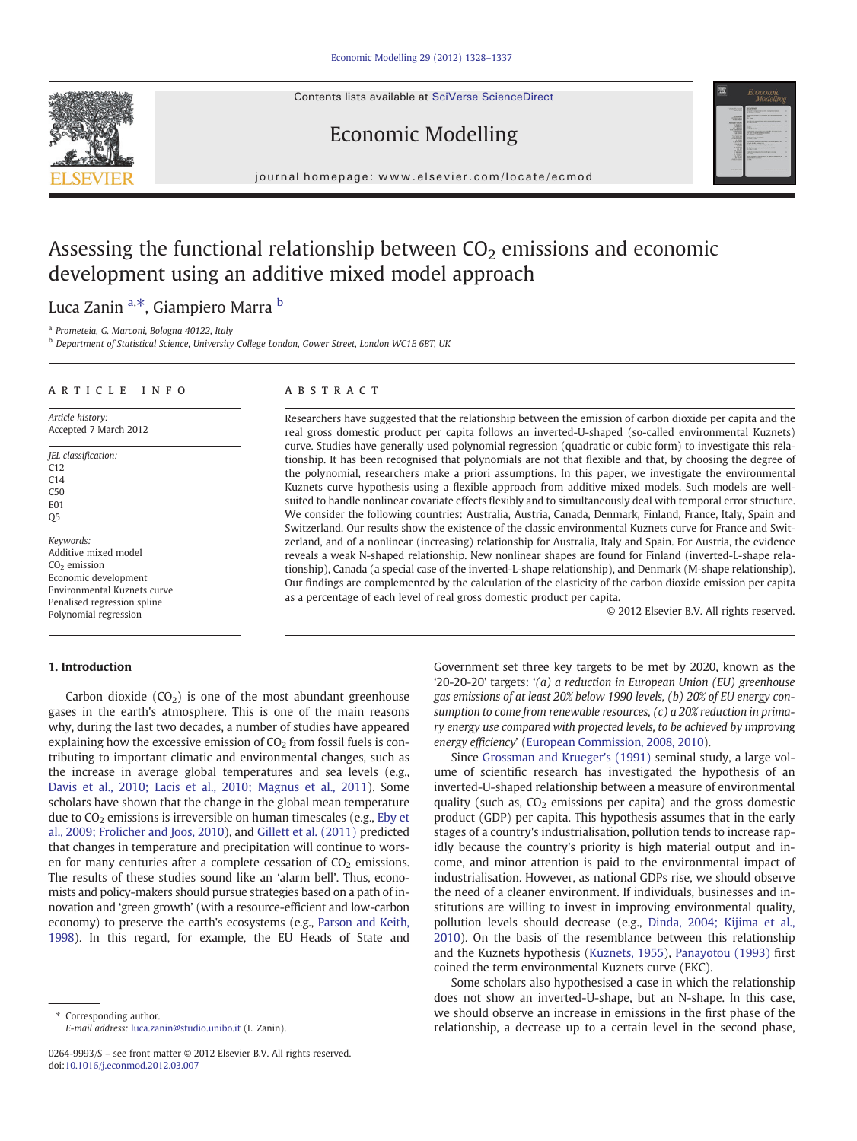Contents lists available at [SciVerse ScienceDirect](http://www.sciencedirect.com/science/journal/02649993)





Economic Modelling

journal homepage: www.elsevier.com/locate/ecmod

## Assessing the functional relationship between  $CO<sub>2</sub>$  emissions and economic development using an additive mixed model approach

### Luca Zanin <sup>a,\*</sup>, Giampiero Marra <sup>b</sup>

<sup>a</sup> Prometeia, G. Marconi, Bologna 40122, Italy

<sup>b</sup> Department of Statistical Science, University College London, Gower Street, London WC1E 6BT, UK

#### ARTICLE INFO ABSTRACT

Article history: Accepted 7 March 2012

JEL classification: C12 C14  $C50$ E01  $O<sub>5</sub>$ 

Keywords: Additive mixed model  $CO<sub>2</sub>$  emission Economic development Environmental Kuznets curve Penalised regression spline Polynomial regression

### 1. Introduction

Carbon dioxide  $(CO<sub>2</sub>)$  is one of the most abundant greenhouse gases in the earth's atmosphere. This is one of the main reasons why, during the last two decades, a number of studies have appeared explaining how the excessive emission of  $CO<sub>2</sub>$  from fossil fuels is contributing to important climatic and environmental changes, such as the increase in average global temperatures and sea levels (e.g., [Davis et al., 2010; Lacis et al., 2010; Magnus et al., 2011](#page--1-0)). Some scholars have shown that the change in the global mean temperature due to  $CO<sub>2</sub>$  emissions is irreversible on human timescales (e.g., [Eby et](#page--1-0) [al., 2009; Frolicher and Joos, 2010\)](#page--1-0), and [Gillett et al. \(2011\)](#page--1-0) predicted that changes in temperature and precipitation will continue to worsen for many centuries after a complete cessation of  $CO<sub>2</sub>$  emissions. The results of these studies sound like an 'alarm bell'. Thus, economists and policy-makers should pursue strategies based on a path of innovation and 'green growth' (with a resource-efficient and low-carbon economy) to preserve the earth's ecosystems (e.g., [Parson and Keith,](#page--1-0) [1998\)](#page--1-0). In this regard, for example, the EU Heads of State and

⁎ Corresponding author. E-mail address: [luca.zanin@studio.unibo.it](mailto:luca.zanin@studio.unibo.it) (L. Zanin).

Researchers have suggested that the relationship between the emission of carbon dioxide per capita and the real gross domestic product per capita follows an inverted-U-shaped (so-called environmental Kuznets) curve. Studies have generally used polynomial regression (quadratic or cubic form) to investigate this relationship. It has been recognised that polynomials are not that flexible and that, by choosing the degree of the polynomial, researchers make a priori assumptions. In this paper, we investigate the environmental Kuznets curve hypothesis using a flexible approach from additive mixed models. Such models are wellsuited to handle nonlinear covariate effects flexibly and to simultaneously deal with temporal error structure. We consider the following countries: Australia, Austria, Canada, Denmark, Finland, France, Italy, Spain and Switzerland. Our results show the existence of the classic environmental Kuznets curve for France and Switzerland, and of a nonlinear (increasing) relationship for Australia, Italy and Spain. For Austria, the evidence reveals a weak N-shaped relationship. New nonlinear shapes are found for Finland (inverted-L-shape relationship), Canada (a special case of the inverted-L-shape relationship), and Denmark (M-shape relationship). Our findings are complemented by the calculation of the elasticity of the carbon dioxide emission per capita as a percentage of each level of real gross domestic product per capita.

© 2012 Elsevier B.V. All rights reserved.

Government set three key targets to be met by 2020, known as the '20-20-20' targets: '(a) a reduction in European Union (EU) greenhouse gas emissions of at least 20% below 1990 levels, (b) 20% of EU energy consumption to come from renewable resources, (c) a 20% reduction in primary energy use compared with projected levels, to be achieved by improving energy efficiency' ([European Commission, 2008, 2010](#page--1-0)).

Since [Grossman and Krueger's \(1991\)](#page--1-0) seminal study, a large volume of scientific research has investigated the hypothesis of an inverted-U-shaped relationship between a measure of environmental quality (such as,  $CO<sub>2</sub>$  emissions per capita) and the gross domestic product (GDP) per capita. This hypothesis assumes that in the early stages of a country's industrialisation, pollution tends to increase rapidly because the country's priority is high material output and income, and minor attention is paid to the environmental impact of industrialisation. However, as national GDPs rise, we should observe the need of a cleaner environment. If individuals, businesses and institutions are willing to invest in improving environmental quality, pollution levels should decrease (e.g., [Dinda, 2004; Kijima et al.,](#page--1-0) [2010\)](#page--1-0). On the basis of the resemblance between this relationship and the Kuznets hypothesis ([Kuznets, 1955](#page--1-0)), [Panayotou \(1993\)](#page--1-0) first coined the term environmental Kuznets curve (EKC).

Some scholars also hypothesised a case in which the relationship does not show an inverted-U-shape, but an N-shape. In this case, we should observe an increase in emissions in the first phase of the relationship, a decrease up to a certain level in the second phase,

<sup>0264-9993/\$</sup> – see front matter © 2012 Elsevier B.V. All rights reserved. doi[:10.1016/j.econmod.2012.03.007](http://dx.doi.org/10.1016/j.econmod.2012.03.007)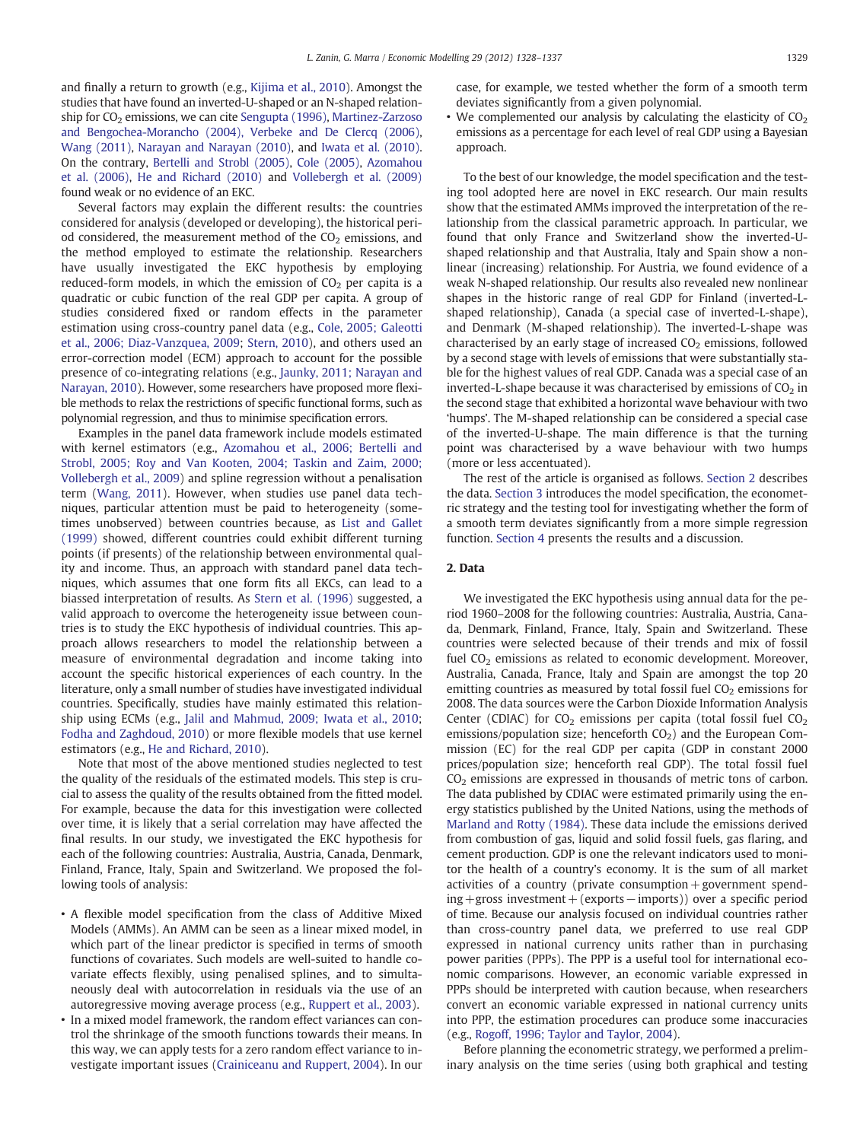and finally a return to growth (e.g., [Kijima et al., 2010](#page--1-0)). Amongst the studies that have found an inverted-U-shaped or an N-shaped relationship for  $CO<sub>2</sub>$  emissions, we can cite [Sengupta \(1996\)](#page--1-0), [Martinez-Zarzoso](#page--1-0) [and Bengochea-Morancho \(2004\), Verbeke and De Clercq \(2006\),](#page--1-0) [Wang \(2011\)](#page--1-0), [Narayan and Narayan \(2010\)](#page--1-0), and [Iwata et al. \(2010\).](#page--1-0) On the contrary, [Bertelli and Strobl \(2005\)](#page--1-0), [Cole \(2005\)](#page--1-0), [Azomahou](#page--1-0) [et al. \(2006\),](#page--1-0) [He and Richard \(2010\)](#page--1-0) and [Vollebergh et al. \(2009\)](#page--1-0) found weak or no evidence of an EKC.

Several factors may explain the different results: the countries considered for analysis (developed or developing), the historical period considered, the measurement method of the  $CO<sub>2</sub>$  emissions, and the method employed to estimate the relationship. Researchers have usually investigated the EKC hypothesis by employing reduced-form models, in which the emission of  $CO<sub>2</sub>$  per capita is a quadratic or cubic function of the real GDP per capita. A group of studies considered fixed or random effects in the parameter estimation using cross-country panel data (e.g., [Cole, 2005; Galeotti](#page--1-0) [et al., 2006; Diaz-Vanzquea, 2009;](#page--1-0) [Stern, 2010](#page--1-0)), and others used an error-correction model (ECM) approach to account for the possible presence of co-integrating relations (e.g., [Jaunky, 2011; Narayan and](#page--1-0) [Narayan, 2010](#page--1-0)). However, some researchers have proposed more flexible methods to relax the restrictions of specific functional forms, such as polynomial regression, and thus to minimise specification errors.

Examples in the panel data framework include models estimated with kernel estimators (e.g., [Azomahou et al., 2006; Bertelli and](#page--1-0) [Strobl, 2005; Roy and Van Kooten, 2004; Taskin and Zaim, 2000;](#page--1-0) [Vollebergh et al., 2009\)](#page--1-0) and spline regression without a penalisation term ([Wang, 2011\)](#page--1-0). However, when studies use panel data techniques, particular attention must be paid to heterogeneity (sometimes unobserved) between countries because, as [List and Gallet](#page--1-0) [\(1999\)](#page--1-0) showed, different countries could exhibit different turning points (if presents) of the relationship between environmental quality and income. Thus, an approach with standard panel data techniques, which assumes that one form fits all EKCs, can lead to a biassed interpretation of results. As [Stern et al. \(1996\)](#page--1-0) suggested, a valid approach to overcome the heterogeneity issue between countries is to study the EKC hypothesis of individual countries. This approach allows researchers to model the relationship between a measure of environmental degradation and income taking into account the specific historical experiences of each country. In the literature, only a small number of studies have investigated individual countries. Specifically, studies have mainly estimated this relationship using ECMs (e.g., [Jalil and Mahmud, 2009; Iwata et al., 2010;](#page--1-0) [Fodha and Zaghdoud, 2010](#page--1-0)) or more flexible models that use kernel estimators (e.g., [He and Richard, 2010\)](#page--1-0).

Note that most of the above mentioned studies neglected to test the quality of the residuals of the estimated models. This step is crucial to assess the quality of the results obtained from the fitted model. For example, because the data for this investigation were collected over time, it is likely that a serial correlation may have affected the final results. In our study, we investigated the EKC hypothesis for each of the following countries: Australia, Austria, Canada, Denmark, Finland, France, Italy, Spain and Switzerland. We proposed the following tools of analysis:

- A flexible model specification from the class of Additive Mixed Models (AMMs). An AMM can be seen as a linear mixed model, in which part of the linear predictor is specified in terms of smooth functions of covariates. Such models are well-suited to handle covariate effects flexibly, using penalised splines, and to simultaneously deal with autocorrelation in residuals via the use of an autoregressive moving average process (e.g., [Ruppert et al., 2003](#page--1-0)).
- In a mixed model framework, the random effect variances can control the shrinkage of the smooth functions towards their means. In this way, we can apply tests for a zero random effect variance to investigate important issues ([Crainiceanu and Ruppert, 2004\)](#page--1-0). In our

case, for example, we tested whether the form of a smooth term deviates significantly from a given polynomial.

• We complemented our analysis by calculating the elasticity of  $CO<sub>2</sub>$ emissions as a percentage for each level of real GDP using a Bayesian approach.

To the best of our knowledge, the model specification and the testing tool adopted here are novel in EKC research. Our main results show that the estimated AMMs improved the interpretation of the relationship from the classical parametric approach. In particular, we found that only France and Switzerland show the inverted-Ushaped relationship and that Australia, Italy and Spain show a nonlinear (increasing) relationship. For Austria, we found evidence of a weak N-shaped relationship. Our results also revealed new nonlinear shapes in the historic range of real GDP for Finland (inverted-Lshaped relationship), Canada (a special case of inverted-L-shape), and Denmark (M-shaped relationship). The inverted-L-shape was characterised by an early stage of increased  $CO<sub>2</sub>$  emissions, followed by a second stage with levels of emissions that were substantially stable for the highest values of real GDP. Canada was a special case of an inverted-L-shape because it was characterised by emissions of  $CO<sub>2</sub>$  in the second stage that exhibited a horizontal wave behaviour with two 'humps'. The M-shaped relationship can be considered a special case of the inverted-U-shape. The main difference is that the turning point was characterised by a wave behaviour with two humps (more or less accentuated).

The rest of the article is organised as follows. Section 2 describes the data. [Section 3](#page--1-0) introduces the model specification, the econometric strategy and the testing tool for investigating whether the form of a smooth term deviates significantly from a more simple regression function. [Section 4](#page--1-0) presents the results and a discussion.

#### 2. Data

We investigated the EKC hypothesis using annual data for the period 1960–2008 for the following countries: Australia, Austria, Canada, Denmark, Finland, France, Italy, Spain and Switzerland. These countries were selected because of their trends and mix of fossil fuel  $CO<sub>2</sub>$  emissions as related to economic development. Moreover, Australia, Canada, France, Italy and Spain are amongst the top 20 emitting countries as measured by total fossil fuel  $CO<sub>2</sub>$  emissions for 2008. The data sources were the Carbon Dioxide Information Analysis Center (CDIAC) for  $CO<sub>2</sub>$  emissions per capita (total fossil fuel  $CO<sub>2</sub>$ ) emissions/population size; henceforth  $CO<sub>2</sub>$ ) and the European Commission (EC) for the real GDP per capita (GDP in constant 2000 prices/population size; henceforth real GDP). The total fossil fuel  $CO<sub>2</sub>$  emissions are expressed in thousands of metric tons of carbon. The data published by CDIAC were estimated primarily using the energy statistics published by the United Nations, using the methods of [Marland and Rotty \(1984\).](#page--1-0) These data include the emissions derived from combustion of gas, liquid and solid fossil fuels, gas flaring, and cement production. GDP is one the relevant indicators used to monitor the health of a country's economy. It is the sum of all market activities of a country (private consumption  $+$  government spending+gross investment+ (exports−imports)) over a specific period of time. Because our analysis focused on individual countries rather than cross-country panel data, we preferred to use real GDP expressed in national currency units rather than in purchasing power parities (PPPs). The PPP is a useful tool for international economic comparisons. However, an economic variable expressed in PPPs should be interpreted with caution because, when researchers convert an economic variable expressed in national currency units into PPP, the estimation procedures can produce some inaccuracies (e.g., [Rogoff, 1996; Taylor and Taylor, 2004](#page--1-0)).

Before planning the econometric strategy, we performed a preliminary analysis on the time series (using both graphical and testing